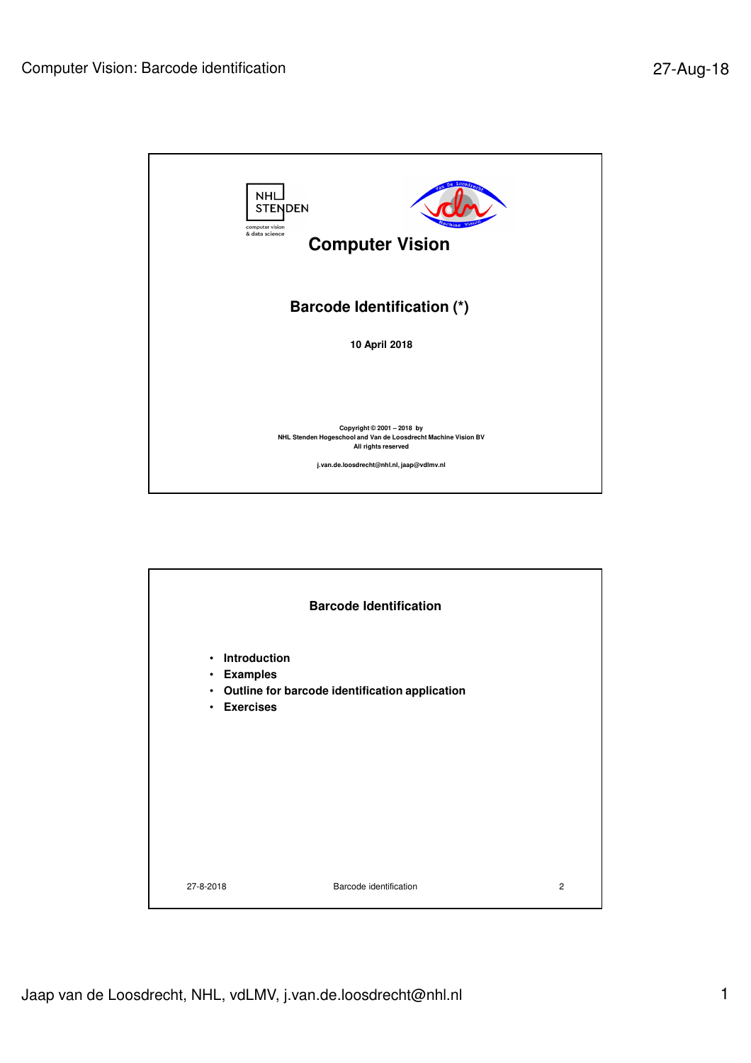

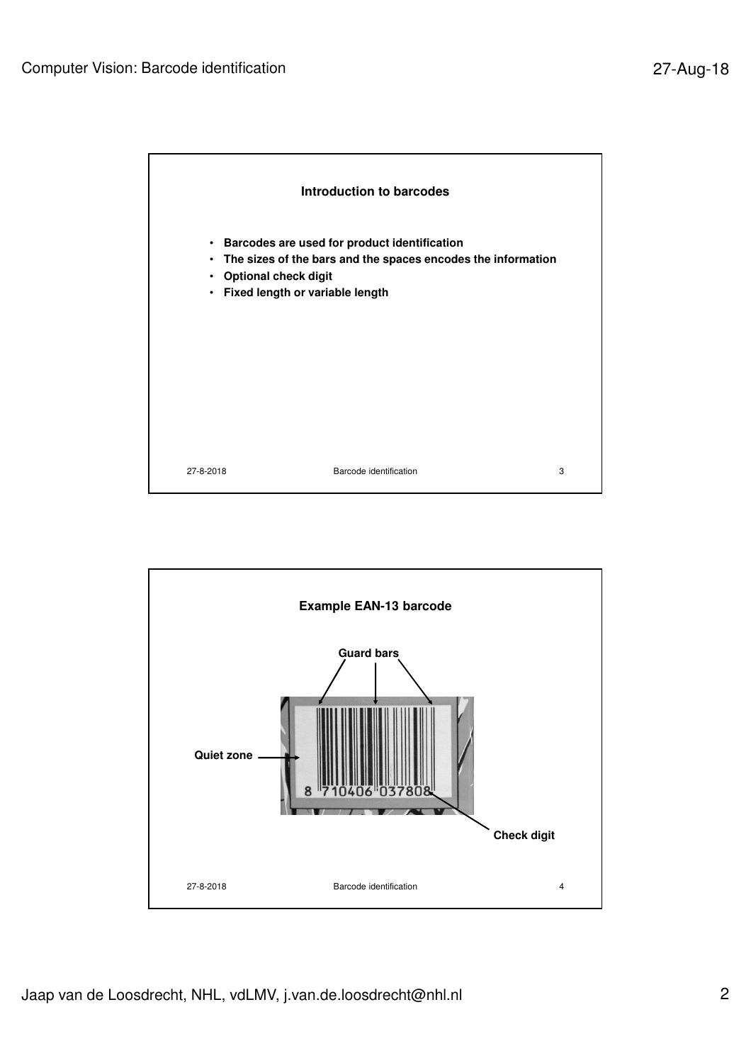

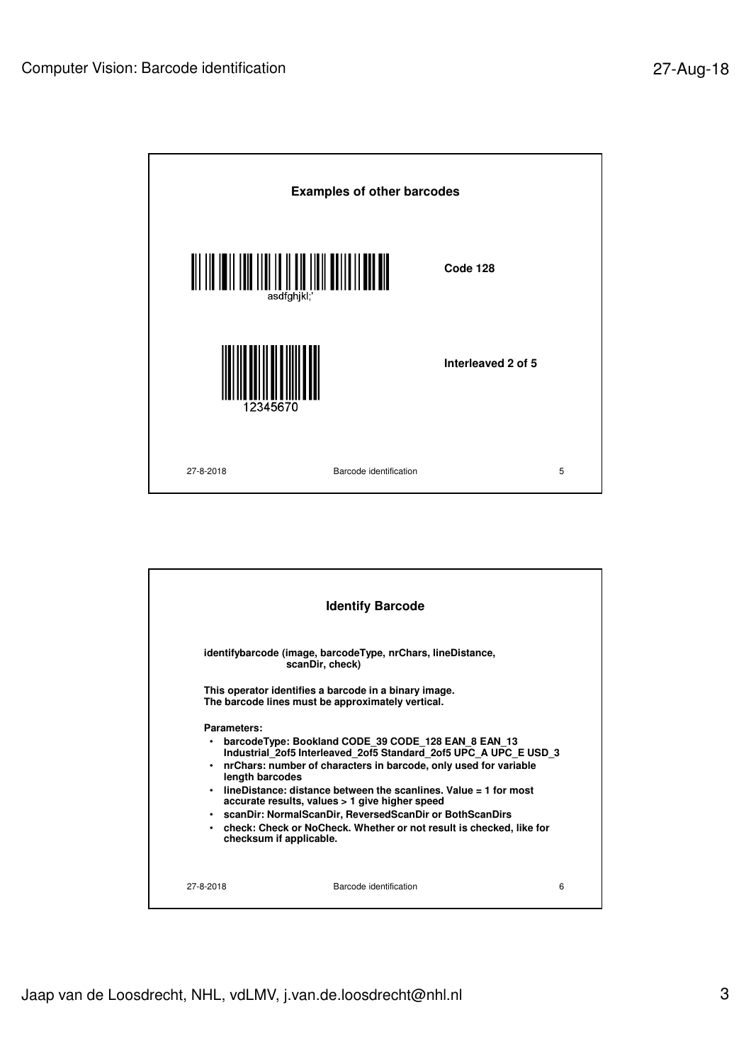

|                                               | <b>Identify Barcode</b>                                                                                                                                                                                                                                                                                                                                                                                                                                                            |   |
|-----------------------------------------------|------------------------------------------------------------------------------------------------------------------------------------------------------------------------------------------------------------------------------------------------------------------------------------------------------------------------------------------------------------------------------------------------------------------------------------------------------------------------------------|---|
|                                               | identifybarcode (image, barcodeType, nrChars, lineDistance,<br>scanDir, check)                                                                                                                                                                                                                                                                                                                                                                                                     |   |
|                                               | This operator identifies a barcode in a binary image.<br>The barcode lines must be approximately vertical.                                                                                                                                                                                                                                                                                                                                                                         |   |
| Parameters:<br>٠<br>٠<br>length barcodes<br>٠ | barcodeType: Bookland CODE 39 CODE 128 EAN 8 EAN 13<br>Industrial 2of5 Interleaved 2of5 Standard 2of5 UPC A UPC E USD 3<br>nrChars: number of characters in barcode, only used for variable<br>lineDistance: distance between the scanlines. Value = 1 for most<br>accurate results, values > 1 give higher speed<br>• scanDir: NormalScanDir, ReversedScanDir or BothScanDirs<br>• check: Check or NoCheck. Whether or not result is checked, like for<br>checksum if applicable. |   |
| 27-8-2018                                     | Barcode identification                                                                                                                                                                                                                                                                                                                                                                                                                                                             | 6 |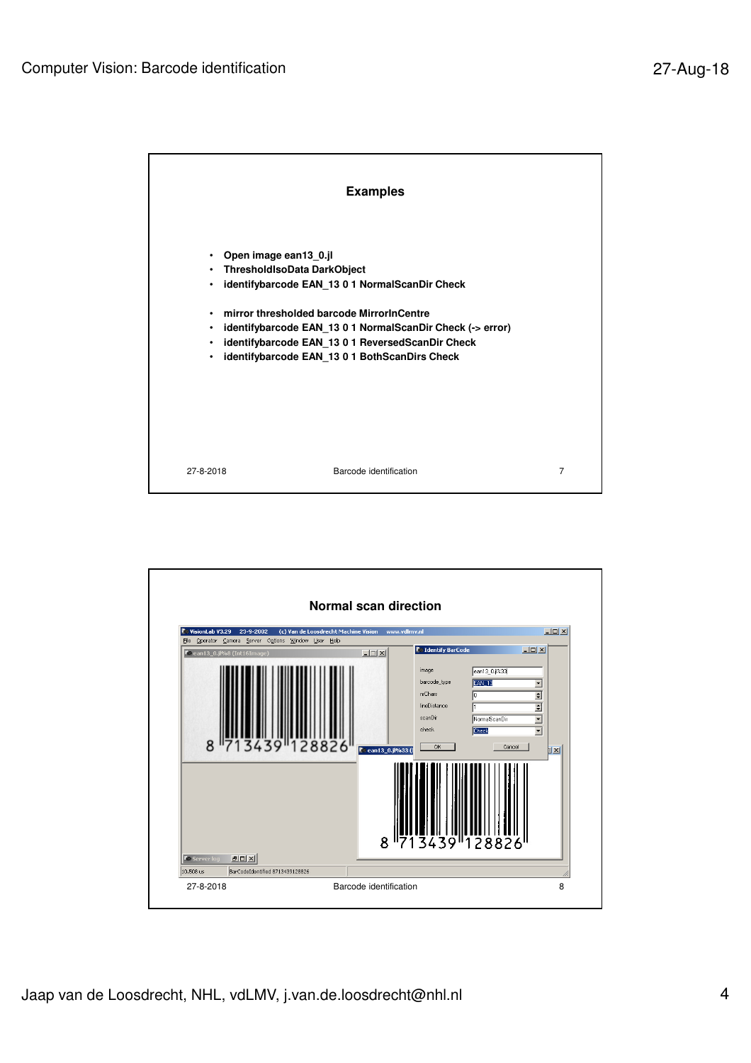

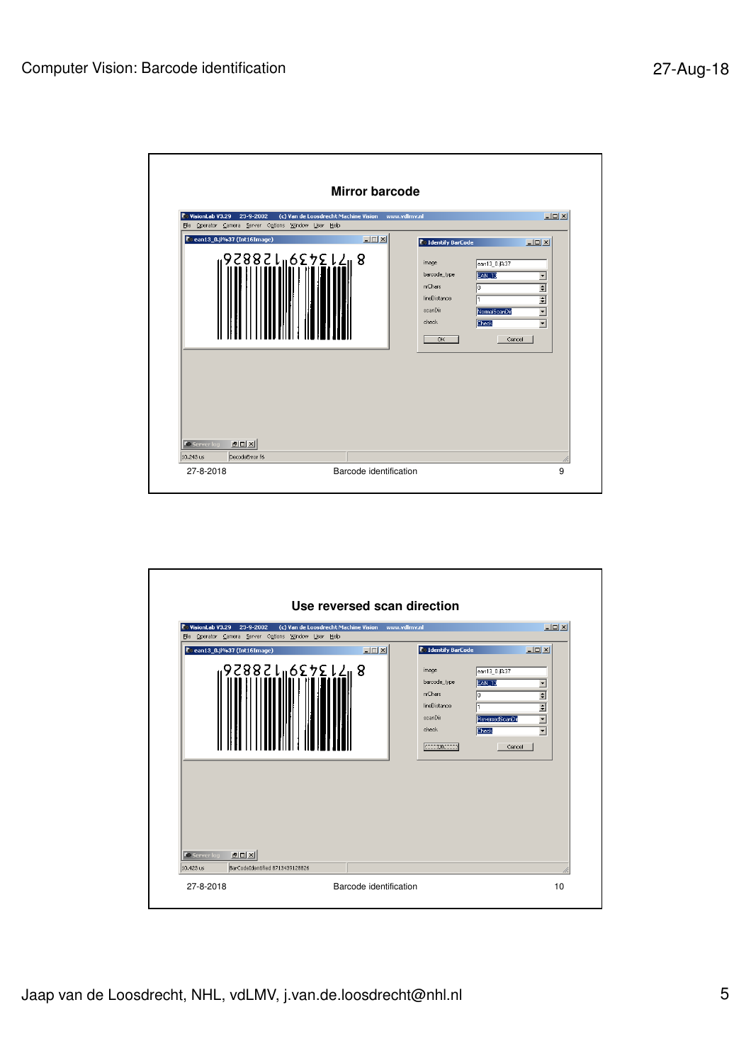

| <b>C</b> Identify BarCode<br>image<br>ean13_0.jl%37<br>barcode_type<br>EAN <sub>13</sub><br>nrChars<br>lineDistance<br>scanDir | $\Box$ D $\Box$<br>$\overline{\phantom{a}}$<br>÷                                            |
|--------------------------------------------------------------------------------------------------------------------------------|---------------------------------------------------------------------------------------------|
| check<br><b>Check</b><br>OR.                                                                                                   | $\div$<br>$\overline{\phantom{0}}$<br>ReversedScanDir<br>$\overline{\phantom{a}}$<br>Cancel |
|                                                                                                                                |                                                                                             |
|                                                                                                                                |                                                                                             |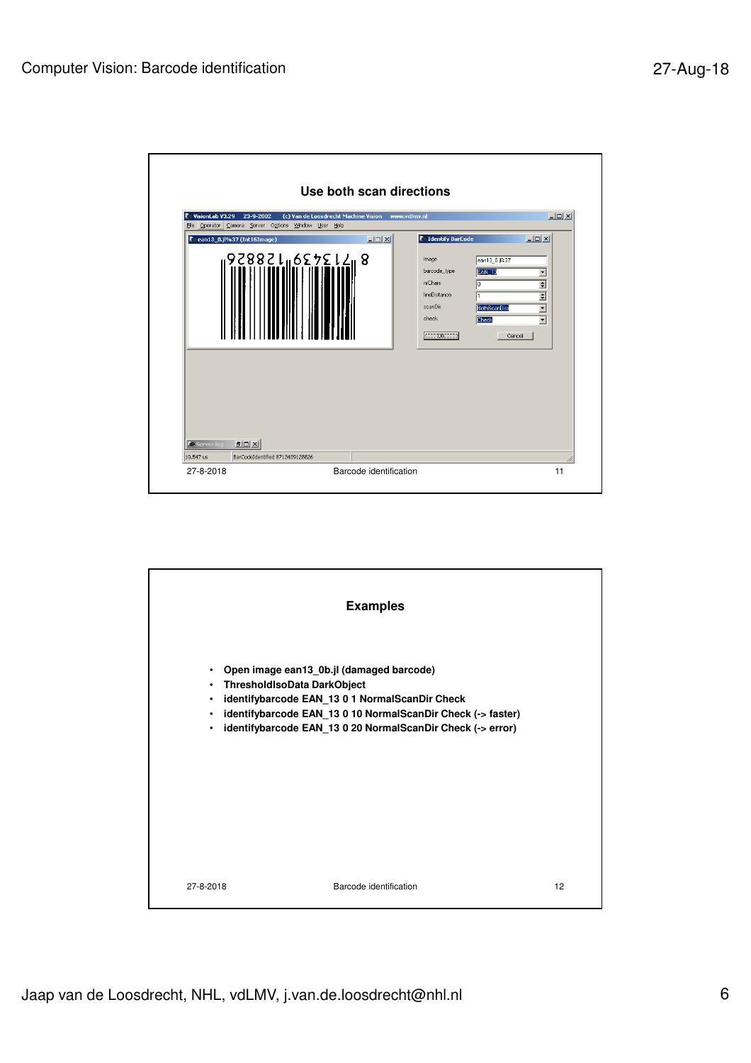

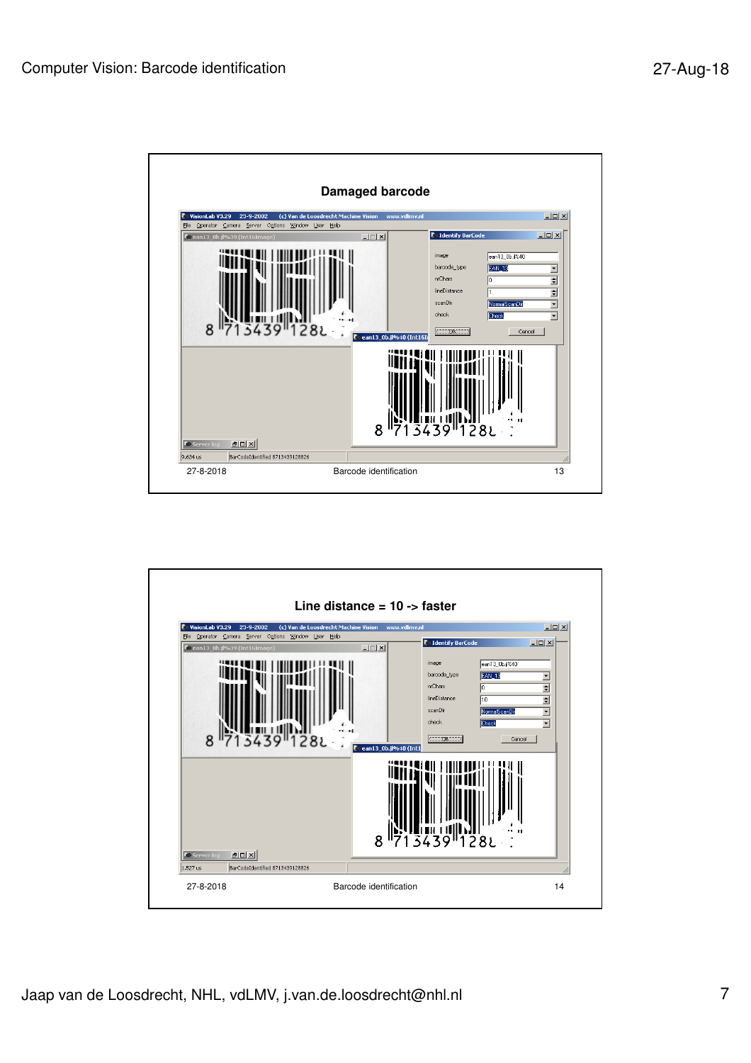

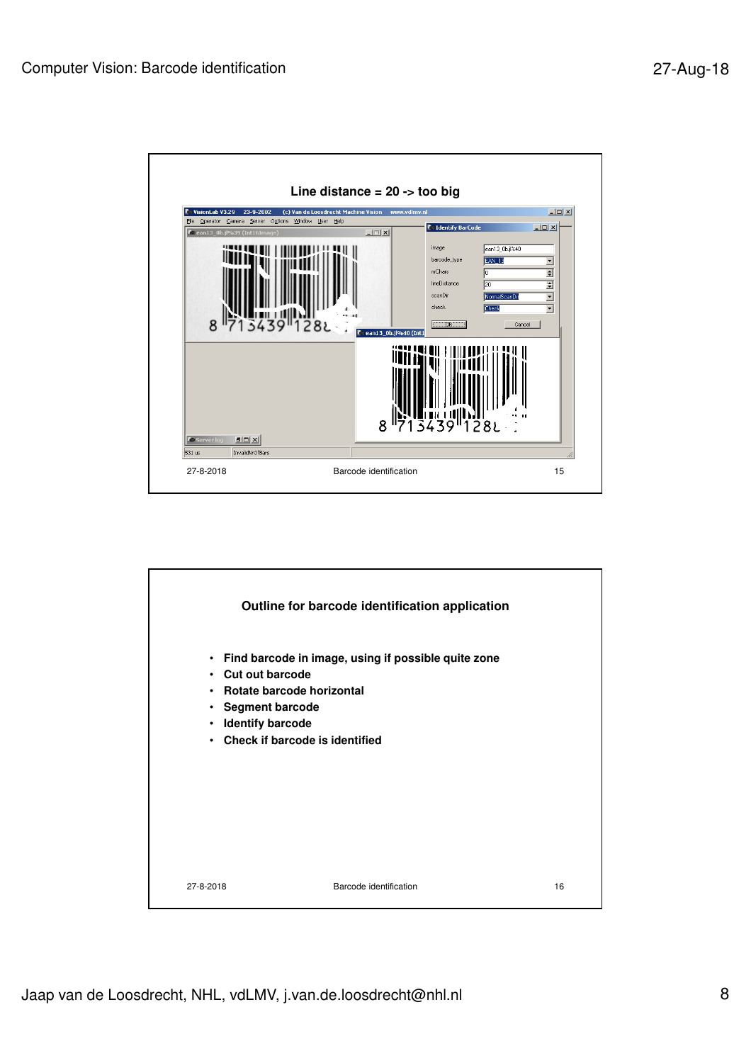